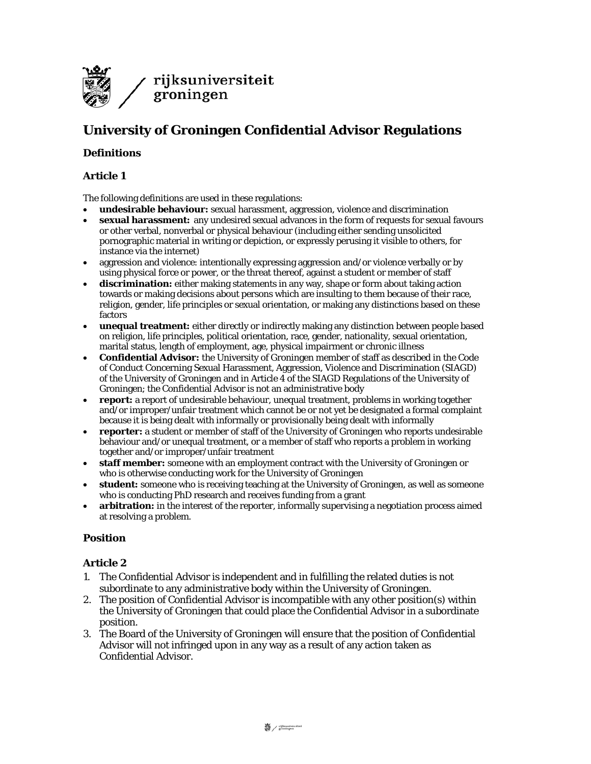

# **University of Groningen Confidential Advisor Regulations**

## **Definitions**

## **Article 1**

The following definitions are used in these regulations:

- **undesirable behaviour:** sexual harassment, aggression, violence and discrimination
- **sexual harassment:** any undesired sexual advances in the form of requests for sexual favours or other verbal, nonverbal or physical behaviour (including either sending unsolicited pornographic material in writing or depiction, or expressly perusing it visible to others, for instance via the internet)
- aggression and violence: intentionally expressing aggression and/or violence verbally or by using physical force or power, or the threat thereof, against a student or member of staff
- **discrimination:** either making statements in any way, shape or form about taking action towards or making decisions about persons which are insulting to them because of their race, religion, gender, life principles or sexual orientation, or making any distinctions based on these factors
- **unequal treatment:** either directly or indirectly making any distinction between people based on religion, life principles, political orientation, race, gender, nationality, sexual orientation, marital status, length of employment, age, physical impairment or chronic illness
- **Confidential Advisor:** the University of Groningen member of staff as described in the Code of Conduct Concerning Sexual Harassment, Aggression, Violence and Discrimination (SIAGD) of the University of Groningen and in Article 4 of the SIAGD Regulations of the University of Groningen; the Confidential Advisor is not an administrative body
- **report:** a report of undesirable behaviour, unequal treatment, problems in working together and/or improper/unfair treatment which cannot be or not yet be designated a formal complaint because it is being dealt with informally or provisionally being dealt with informally
- **reporter:** a student or member of staff of the University of Groningen who reports undesirable behaviour and/or unequal treatment, or a member of staff who reports a problem in working together and/or improper/unfair treatment
- **staff member:** someone with an employment contract with the University of Groningen or who is otherwise conducting work for the University of Groningen
- **student:** someone who is receiving teaching at the University of Groningen, as well as someone who is conducting PhD research and receives funding from a grant
- **arbitration:** in the interest of the reporter, informally supervising a negotiation process aimed at resolving a problem.

### **Position**

- 1. The Confidential Advisor is independent and in fulfilling the related duties is not subordinate to any administrative body within the University of Groningen.
- 2. The position of Confidential Advisor is incompatible with any other position(s) within the University of Groningen that could place the Confidential Advisor in a subordinate position.
- 3. The Board of the University of Groningen will ensure that the position of Confidential Advisor will not infringed upon in any way as a result of any action taken as Confidential Advisor.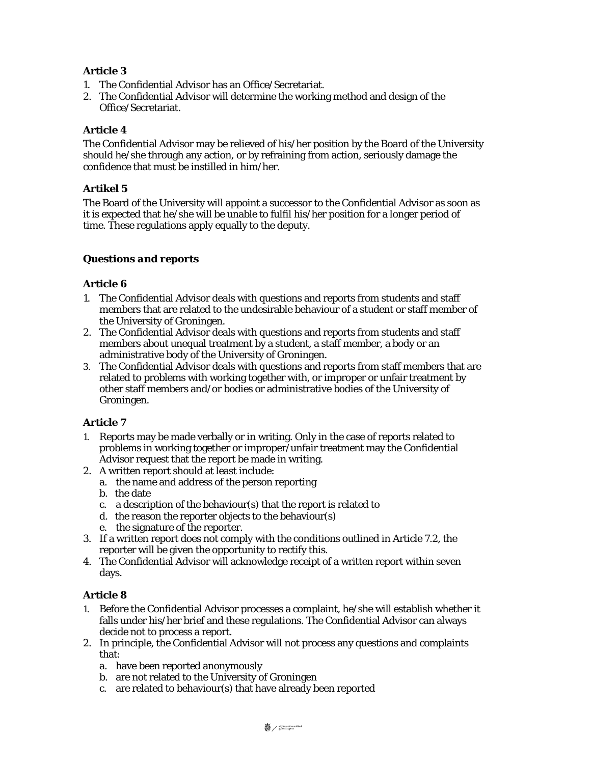## **Article 3**

- 1. The Confidential Advisor has an Office/Secretariat.
- 2. The Confidential Advisor will determine the working method and design of the Office/Secretariat.

## **Article 4**

The Confidential Advisor may be relieved of his/her position by the Board of the University should he/she through any action, or by refraining from action, seriously damage the confidence that must be instilled in him/her.

## **Artikel 5**

The Board of the University will appoint a successor to the Confidential Advisor as soon as it is expected that he/she will be unable to fulfil his/her position for a longer period of time. These regulations apply equally to the deputy.

## *Questions and reports*

## **Article 6**

- 1. The Confidential Advisor deals with questions and reports from students and staff members that are related to the undesirable behaviour of a student or staff member of the University of Groningen.
- 2. The Confidential Advisor deals with questions and reports from students and staff members about unequal treatment by a student, a staff member, a body or an administrative body of the University of Groningen.
- 3. The Confidential Advisor deals with questions and reports from staff members that are related to problems with working together with, or improper or unfair treatment by other staff members and/or bodies or administrative bodies of the University of Groningen.

## **Article 7**

- 1. Reports may be made verbally or in writing. Only in the case of reports related to problems in working together or improper/unfair treatment may the Confidential Advisor request that the report be made in writing.
- 2. A written report should at least include:
	- a. the name and address of the person reporting
	- b. the date
	- c. a description of the behaviour(s) that the report is related to
	- d. the reason the reporter objects to the behaviour(s)
	- e. the signature of the reporter.
- 3. If a written report does not comply with the conditions outlined in Article 7.2, the reporter will be given the opportunity to rectify this.
- 4. The Confidential Advisor will acknowledge receipt of a written report within seven days.

- 1. Before the Confidential Advisor processes a complaint, he/she will establish whether it falls under his/her brief and these regulations. The Confidential Advisor can always decide not to process a report.
- 2. In principle, the Confidential Advisor will not process any questions and complaints that:
	- a. have been reported anonymously
	- b. are not related to the University of Groningen
	- c. are related to behaviour(s) that have already been reported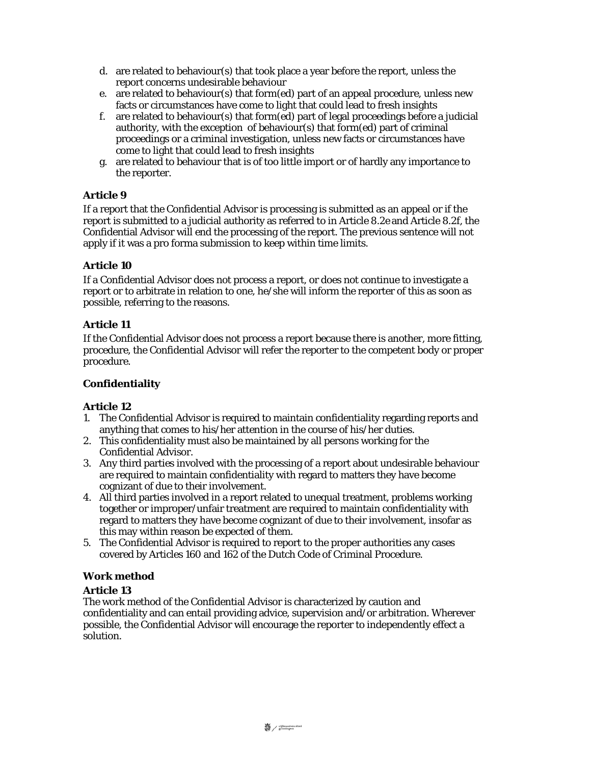- d. are related to behaviour(s) that took place a year before the report, unless the report concerns undesirable behaviour
- e. are related to behaviour(s) that form(ed) part of an appeal procedure, unless new facts or circumstances have come to light that could lead to fresh insights
- f. are related to behaviour(s) that form(ed) part of legal proceedings before a judicial authority, with the exception of behaviour(s) that form(ed) part of criminal proceedings or a criminal investigation, unless new facts or circumstances have come to light that could lead to fresh insights
- g. are related to behaviour that is of too little import or of hardly any importance to the reporter.

## **Article 9**

If a report that the Confidential Advisor is processing is submitted as an appeal or if the report is submitted to a judicial authority as referred to in Article 8.2e and Article 8.2f, the Confidential Advisor will end the processing of the report. The previous sentence will not apply if it was a pro forma submission to keep within time limits.

## **Article 10**

If a Confidential Advisor does not process a report, or does not continue to investigate a report or to arbitrate in relation to one, he/she will inform the reporter of this as soon as possible, referring to the reasons.

## **Article 11**

If the Confidential Advisor does not process a report because there is another, more fitting, procedure, the Confidential Advisor will refer the reporter to the competent body or proper procedure.

### **Confidentiality**

### **Article 12**

- 1. The Confidential Advisor is required to maintain confidentiality regarding reports and anything that comes to his/her attention in the course of his/her duties.
- 2. This confidentiality must also be maintained by all persons working for the Confidential Advisor.
- 3. Any third parties involved with the processing of a report about undesirable behaviour are required to maintain confidentiality with regard to matters they have become cognizant of due to their involvement.
- 4. All third parties involved in a report related to unequal treatment, problems working together or improper/unfair treatment are required to maintain confidentiality with regard to matters they have become cognizant of due to their involvement, insofar as this may within reason be expected of them.
- 5. The Confidential Advisor is required to report to the proper authorities any cases covered by Articles 160 and 162 of the Dutch Code of Criminal Procedure.

### **Work method**

### **Article 13**

The work method of the Confidential Advisor is characterized by caution and confidentiality and can entail providing advice, supervision and/or arbitration. Wherever possible, the Confidential Advisor will encourage the reporter to independently effect a solution.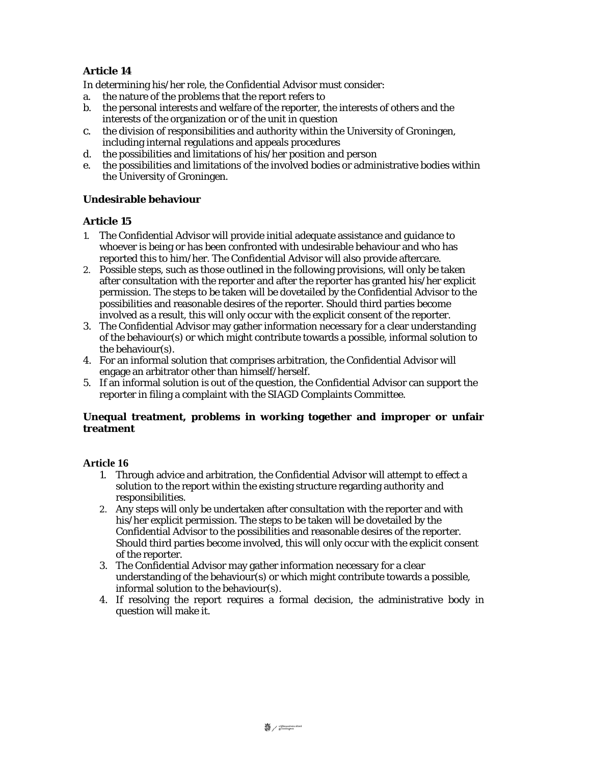# **Article 14**

In determining his/her role, the Confidential Advisor must consider:

- a. the nature of the problems that the report refers to
- b. the personal interests and welfare of the reporter, the interests of others and the interests of the organization or of the unit in question
- c. the division of responsibilities and authority within the University of Groningen, including internal regulations and appeals procedures
- d. the possibilities and limitations of his/her position and person
- e. the possibilities and limitations of the involved bodies or administrative bodies within the University of Groningen.

## **Undesirable behaviour**

### **Article 15**

- 1. The Confidential Advisor will provide initial adequate assistance and guidance to whoever is being or has been confronted with undesirable behaviour and who has reported this to him/her. The Confidential Advisor will also provide aftercare.
- 2. Possible steps, such as those outlined in the following provisions, will only be taken after consultation with the reporter and after the reporter has granted his/her explicit permission. The steps to be taken will be dovetailed by the Confidential Advisor to the possibilities and reasonable desires of the reporter. Should third parties become involved as a result, this will only occur with the explicit consent of the reporter.
- 3. The Confidential Advisor may gather information necessary for a clear understanding of the behaviour(s) or which might contribute towards a possible, informal solution to the behaviour(s).
- 4. For an informal solution that comprises arbitration, the Confidential Advisor will engage an arbitrator other than himself/herself.
- 5. If an informal solution is out of the question, the Confidential Advisor can support the reporter in filing a complaint with the SIAGD Complaints Committee.

### **Unequal treatment, problems in working together and improper or unfair treatment**

- 1. Through advice and arbitration, the Confidential Advisor will attempt to effect a solution to the report within the existing structure regarding authority and responsibilities.
- 2. Any steps will only be undertaken after consultation with the reporter and with his/her explicit permission. The steps to be taken will be dovetailed by the Confidential Advisor to the possibilities and reasonable desires of the reporter. Should third parties become involved, this will only occur with the explicit consent of the reporter.
- 3. The Confidential Advisor may gather information necessary for a clear understanding of the behaviour(s) or which might contribute towards a possible, informal solution to the behaviour(s).
- 4. If resolving the report requires a formal decision, the administrative body in question will make it.